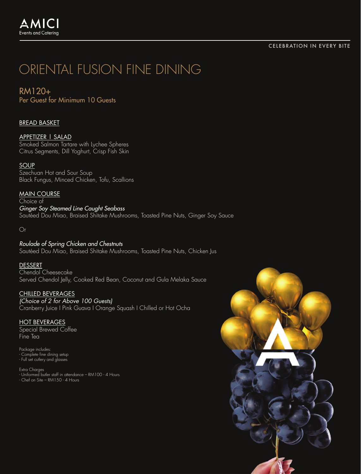#### CELEBRATION IN EVERY BITE

## ORIENTAL FUSION FINE DINING

RM120+ Per Guest for Minimum 10 Guests

#### BREAD BASKET

#### APPETIZER | SALAD

Smoked Salmon Tartare with Lychee Spheres Citrus Segments, Dill Yoghurt, Crisp Fish Skin

#### **SOUP**

Szechuan Hot and Sour Soup Black Fungus, Minced Chicken, Tofu, Scallions

#### MAIN COURSE

Choice of *Ginger Soy Steamed Line Caught Seabass* Sautéed Dou Miao, Braised Shitake Mushrooms, Toasted Pine Nuts, Ginger Soy Sauce

Or

*Roulade of Spring Chicken and Chestnuts* Sautéed Dou Miao, Braised Shitake Mushrooms, Toasted Pine Nuts, Chicken Jus

#### DESSERT

Chendol Cheesecake Served Chendol Jelly, Cooked Red Bean, Coconut and Gula Melaka Sauce

#### CHILLED BEVERAGES

*(Choice of 2 for Above 100 Guests)* Cranberry Juice I Pink Guava I Orange Squash I Chilled or Hot Ocha

#### HOT BEVERAGES

Special Brewed Coffee Fine Tea

Package includes: - Complete fine dining setup - Full set cutlery and glasses

Extra Charges - Uniformed butler staff in attendance – RM100 - 4 Hours - Chef on Site – RM150 - 4 Hours

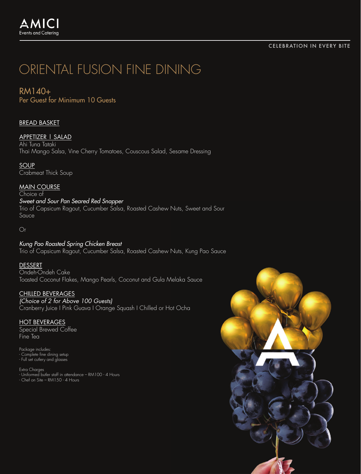#### CELEBRATION IN EVERY BITE

# ORIENTAL FUSION FINE DINING

### RM140+

Per Guest for Minimum 10 Guests

#### BREAD BASKET

#### APPETIZER | SALAD

Ahi Tuna Tataki Thai Mango Salsa, Vine Cherry Tomatoes, Couscous Salad, Sesame Dressing

**SOUP** Crabmeat Thick Soup

MAIN COURSE

Choice of

#### *Sweet and Sour Pan Seared Red Snapper*

Trio of Capsicum Ragout, Cucumber Salsa, Roasted Cashew Nuts, Sweet and Sour Sauce

Or

#### *Kung Pao Roasted Spring Chicken Breast* Trio of Capsicum Ragout, Cucumber Salsa, Roasted Cashew Nuts, Kung Pao Sauce

#### **DESSERT**

Ondeh-Ondeh Cake Toasted Coconut Flakes, Mango Pearls, Coconut and Gula Melaka Sauce

#### CHILLED BEVERAGES

*(Choice of 2 for Above 100 Guests)* Cranberry Juice I Pink Guava I Orange Squash I Chilled or Hot Ocha

#### HOT BEVERAGES

Special Brewed Coffee Fine Tea

Package includes: - Complete fine dining setup - Full set cutlery and glasses

Extra Charges - Uniformed butler staff in attendance – RM100 - 4 Hours - Chef on Site – RM150 - 4 Hours